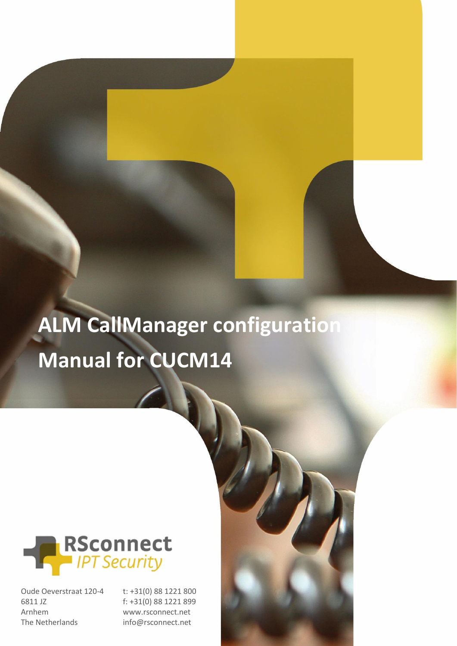# **ALM CallManager configuration Manual for CUCM14**



Oude Oeverstraat 120-4 6811 JZ Arnhem The Netherlands

t: +31(0) 88 1221 800 f: +31(0) 88 1221 899 www.rsconnect.net info@rsconnect.net

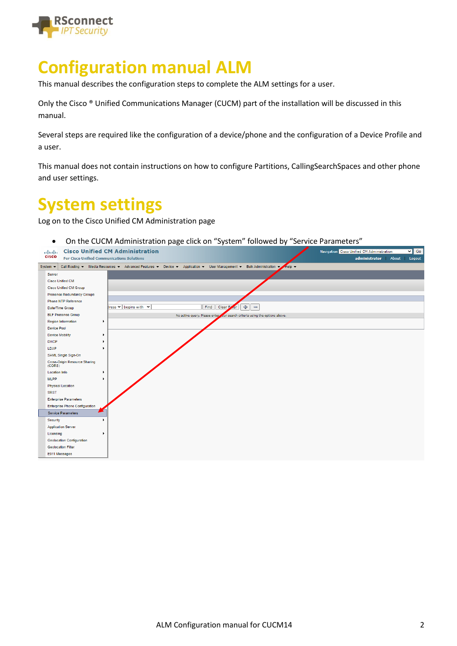

# **Configuration manual ALM**

This manual describes the configuration steps to complete the ALM settings for a user.

Only the Cisco ® Unified Communications Manager (CUCM) part of the installation will be discussed in this manual.

Several steps are required like the configuration of a device/phone and the configuration of a Device Profile and a user.

This manual does not contain instructions on how to configure Partitions, CallingSearchSpaces and other phone and user settings.

## **System settings**

Log on to the Cisco Unified CM Administration page

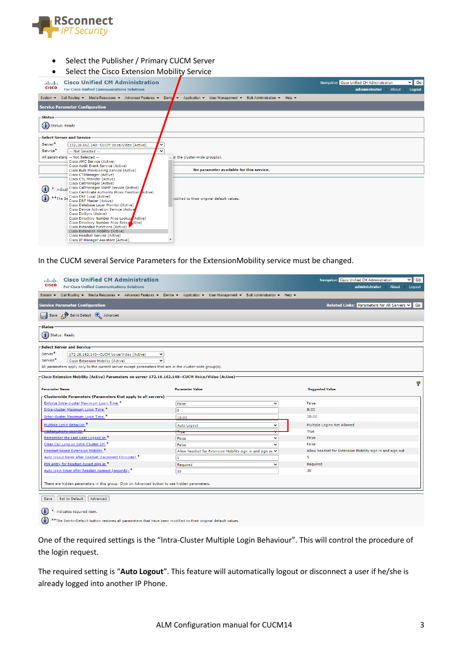

- Select the Publisher / Primary CUCM Server
- Select the Cisco Extension Mobility Service

| abab.<br><b>CISCO</b>       | <b>Cisco Unified CM Administration</b>                                           |              |                                                              | Navigation Cisco Unified CM Administration |       | $\overline{\smile}$ Go |
|-----------------------------|----------------------------------------------------------------------------------|--------------|--------------------------------------------------------------|--------------------------------------------|-------|------------------------|
|                             | <b>For Cisco Unified Communications Solutions</b>                                |              |                                                              | administrator                              | About | Logout                 |
| System $\blacktriangledown$ | Call Routing v Media Resources v Advanced Features v Devictor                    |              | Application v User Management v Bulk Administration v Help v |                                            |       |                        |
|                             | <b>Service Parameter Configuration</b>                                           |              |                                                              |                                            |       |                        |
| -Status                     |                                                                                  |              |                                                              |                                            |       |                        |
| (i)                         | <b>Status: Ready</b>                                                             |              |                                                              |                                            |       |                        |
|                             | Select Server and Service                                                        |              |                                                              |                                            |       |                        |
| Server <sup>*</sup>         | 172.16.162.140 -- CUCM Voice/Video (Active)                                      | $\checkmark$ |                                                              |                                            |       |                        |
| Service <sup>*</sup>        | -- Not Selected --                                                               | $\checkmark$ |                                                              |                                            |       |                        |
|                             | All parameters -- Not Selected --                                                |              | in the cluster-wide group(s).                                |                                            |       |                        |
|                             | Cisco AMC Service (Active)                                                       |              |                                                              |                                            |       |                        |
|                             | Cisco Audit Event Service (Active)<br>Cisco Bulk Provisioning Service (Active)   |              | No parameter available for this service.                     |                                            |       |                        |
|                             | Cisco CTIManager (Active)                                                        |              |                                                              |                                            |       |                        |
|                             | Cisco CTL Provider (Active)                                                      |              |                                                              |                                            |       |                        |
|                             | Cisco CallManager (Active)<br>*- indicat Cisco CallManager SNMP Service (Active) |              |                                                              |                                            |       |                        |
| $\bf (i)$                   | Cisco Certificate Authority Proxy Function Active)                               |              |                                                              |                                            |       |                        |
|                             | Cisco DRF Local (Active)<br>**The Se                                             |              | sodified to their original default values.                   |                                            |       |                        |
|                             | Cisco DRF Master (Active)<br>Cisco Database Layer Monitor (Active)               |              |                                                              |                                            |       |                        |
|                             | Cisco Device Activation Service (Active                                          |              |                                                              |                                            |       |                        |
|                             | Cisco DirSync (Active)                                                           |              |                                                              |                                            |       |                        |
|                             | Cisco Directory Number Alias Lookup (Active)                                     |              |                                                              |                                            |       |                        |
|                             | Cisco Directory Number Alias Sync (Ctive)<br>Cisco Extended Functions (Active)   |              |                                                              |                                            |       |                        |
|                             | Cisco Extension Mobility (Active)                                                |              |                                                              |                                            |       |                        |
|                             | Cisco Headset Service (Active)                                                   |              |                                                              |                                            |       |                        |
|                             | Cisco IP Manager Assistant (Active)                                              |              |                                                              |                                            |       |                        |

In the CUCM several Service Parameters for the ExtensionMobility service must be changed.

| abab.<br><b>CISCO</b>                   | <b>Cisco Unified CM Administration</b><br><b>For Cisco Unified Communications Solutions</b>                                         |                        |                                                            |              |  | Navigation Cisco Unified CM Administration<br>administrator<br><b>About</b> | $\vee$ 60<br>Logout |
|-----------------------------------------|-------------------------------------------------------------------------------------------------------------------------------------|------------------------|------------------------------------------------------------|--------------|--|-----------------------------------------------------------------------------|---------------------|
|                                         | System v Call Routing v Media Resources v Advanced Features v Device v Application v User Management v Bulk Administration v Help v |                        |                                                            |              |  |                                                                             |                     |
|                                         | <b>Service Parameter Configuration</b>                                                                                              |                        |                                                            |              |  | Related Links: Parameters for All Servers v Go                              |                     |
|                                         | Save <b>P</b> Set to Default <b>A</b> Advanced                                                                                      |                        |                                                            |              |  |                                                                             |                     |
| <b>Status</b>                           |                                                                                                                                     |                        |                                                            |              |  |                                                                             |                     |
| $\left(\mathbf{i}\right)$ Status: Ready |                                                                                                                                     |                        |                                                            |              |  |                                                                             |                     |
|                                         | <b>Select Server and Service-</b>                                                                                                   |                        |                                                            |              |  |                                                                             |                     |
| Server <sup>*</sup>                     | 172.16.162.140 -- CUCM Voice/Video (Active)<br>$\checkmark$                                                                         |                        |                                                            |              |  |                                                                             |                     |
| Service <sup>*</sup>                    | Cisco Extension Mobility (Active)<br>$\check{~}$                                                                                    |                        |                                                            |              |  |                                                                             |                     |
|                                         | All parameters apply only to the current server except parameters that are in the cluster-wide group(s).                            |                        |                                                            |              |  |                                                                             |                     |
|                                         | -Cisco Extension Mobility (Active) Parameters on server 172.16.162.140--CUCM Voice/Video (Active)-                                  |                        |                                                            |              |  |                                                                             |                     |
|                                         |                                                                                                                                     |                        |                                                            |              |  |                                                                             | 9                   |
| <b>Parameter Name</b>                   |                                                                                                                                     | <b>Parameter Value</b> |                                                            |              |  | <b>Suggested Value</b>                                                      |                     |
|                                         | - Clusterwide Parameters (Parameters that apply to all servers) -                                                                   |                        |                                                            |              |  |                                                                             |                     |
|                                         | Enforce Intra-cluster Maximum Login Time <sup>*</sup>                                                                               | False                  |                                                            | $\check{ }$  |  | False                                                                       |                     |
|                                         | Intra-cluster Maximum Login Time. <sup>46</sup>                                                                                     | $\circ$                |                                                            |              |  | 8:00                                                                        |                     |
|                                         | Inter-cluster Maximum Login Time. <sup>*</sup>                                                                                      | 10:00                  |                                                            |              |  | 10:00                                                                       |                     |
|                                         | Multiple Login Behavior. <sup>*</sup>                                                                                               | Auto Logout            |                                                            | $\check{ }$  |  | Multiple Logins Not Allowed                                                 |                     |
|                                         |                                                                                                                                     | mac                    |                                                            |              |  | True                                                                        |                     |
|                                         | Remember the Last User Logged In.*                                                                                                  | False                  |                                                            | $\checkmark$ |  | False                                                                       |                     |
|                                         | Clear Call Logs on Intra-Cluster EM *                                                                                               | False                  |                                                            | ◡            |  | False                                                                       |                     |
|                                         | <b>Headset-based Extension Mobility</b> *                                                                                           |                        | Allow headset for Extension Mobility sign in and sign ou ∨ |              |  | Allow headset for Extension Mobility sign in and sign out                   |                     |
|                                         | Auto logout timer after headset disconnect (minutes).*                                                                              | 5                      |                                                            |              |  | 5                                                                           |                     |
|                                         | PIN entry for headset-based sign in *                                                                                               | Required               |                                                            | ╰            |  | Required                                                                    |                     |
|                                         | Auto login timer after headset connect (seconds). <sup>*</sup>                                                                      | 30                     |                                                            |              |  | 30                                                                          |                     |
|                                         |                                                                                                                                     |                        |                                                            |              |  |                                                                             |                     |
|                                         | There are hidden parameters in this group. Click on Advanced button to see hidden parameters.                                       |                        |                                                            |              |  |                                                                             |                     |
|                                         |                                                                                                                                     |                        |                                                            |              |  |                                                                             |                     |
| Save                                    | Set to Default<br>Advanced                                                                                                          |                        |                                                            |              |  |                                                                             |                     |
|                                         | *- indicates required item.                                                                                                         |                        |                                                            |              |  |                                                                             |                     |

(1) \*\*The Set-to-Default button restores all parameters that have been modified to their original default values.

One of the required settings is the "Intra-Cluster Multiple Login Behaviour". This will control the procedure of the login request.

The required setting is "**Auto Logout**". This feature will automatically logout or disconnect a user if he/she is already logged into another IP Phone.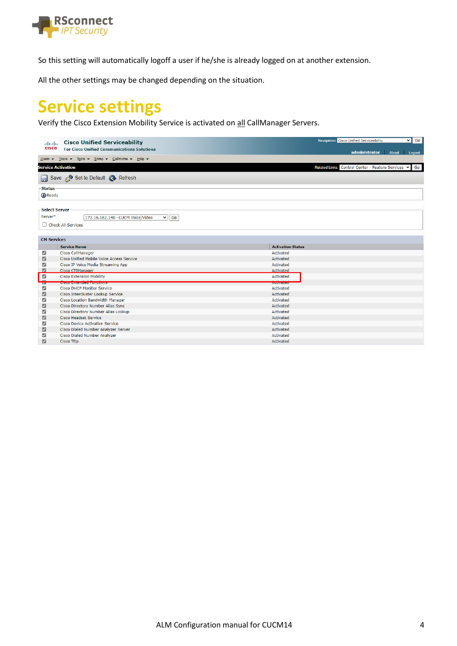

So this setting will automatically logoff a user if he/she is already logged on at another extension.

All the other settings may be changed depending on the situation.

# **Service settings**

Verify the Cisco Extension Mobility Service is activated on all CallManager Servers.

| ahaha                           | <b>Cisco Unified Serviceability</b>                                   | Navigation Cisco Unified Serviceability<br>$\vee$ Go     |
|---------------------------------|-----------------------------------------------------------------------|----------------------------------------------------------|
| <b>CISCO</b>                    | <b>For Cisco Unified Communications Solutions</b>                     | administrator<br>About<br>Logout                         |
|                                 | Alarm v Trace v Tools v Snmp v CallHome v Help v                      |                                                          |
|                                 | <b>Service Activation</b>                                             | Related Links: Control Center - Feature Services v<br>Go |
|                                 | Save Set to Default & Refresh                                         |                                                          |
| <b>Status</b><br>(i) Ready      |                                                                       |                                                          |
| <b>Select Server</b><br>Server* | 172.16.162.140 -- CUCM Voice/Video<br>$\vee$ Go<br>Check All Services |                                                          |
| <b>CM Services</b>              |                                                                       |                                                          |
|                                 | <b>Service Name</b>                                                   | <b>Activation Status</b>                                 |
| ø                               | Cisco CallManager                                                     | Activated                                                |
| ø                               | Cisco Unified Mobile Voice Access Service                             | Activated                                                |
| ☑                               | Cisco IP Voice Media Streaming App                                    | Activated                                                |
| $\blacksquare$                  | Cisco CTIManager                                                      | Activated                                                |
| ☑                               | <b>Cisco Extension Mobility</b>                                       | Activated                                                |
| -<br><b>M</b>                   | <u>Cisto Exterio de Fontanono</u>                                     | <b>ALGUMENT COM</b>                                      |
| ☑                               | <b>Cisco DHCP Monitor Service</b>                                     | Activated                                                |
| ☑                               | Cisco Intercluster Lookup Service                                     | Activated                                                |
| ☑                               | Cisco Location Bandwidth Manager                                      | Activated                                                |
| ☑                               | Cisco Directory Number Alias Sync                                     | Activated                                                |
| ☑                               | Cisco Directory Number Alias Lookup                                   | Activated                                                |
| ☑                               | Cisco Headset Service                                                 | Activated                                                |
| ☑                               | <b>Cisco Device Activation Service</b>                                | Activated                                                |
| ☑                               | Cisco Dialed Number Analyzer Server                                   | Activated                                                |
| ☑                               | Cisco Dialed Number Analyzer                                          | Activated                                                |
| M                               | Cisco Tftp                                                            | Activated                                                |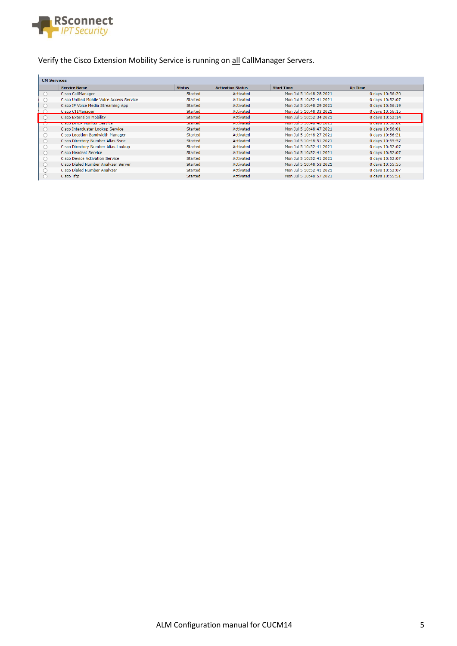

#### Verify the Cisco Extension Mobility Service is running on all CallManager Servers.

| <b>CM Services</b> |                                                 |               |                          |                                                  |                        |
|--------------------|-------------------------------------------------|---------------|--------------------------|--------------------------------------------------|------------------------|
|                    | <b>Service Name</b>                             | <b>Status</b> | <b>Activation Status</b> | <b>Start Time</b>                                | <b>Up Time</b>         |
|                    | Cisco CallManager                               | Started       | Activated                | Mon Jul 5 10:48:28 2021                          | 0 days 10:56:20        |
|                    | Cisco Unified Mobile Voice Access Service       | Started       | Activated                | Mon Jul 5 10:52:41 2021                          | 0 days 10:52:07        |
|                    | Cisco IP Voice Media Streaming App              | Started       | Activated                | Mon Jul 5 10:48:29 2021                          | 0 days 10:56:19        |
|                    | Cisco CTIManager                                | Started       | Activated                | Mon Jul 5 10:48:33 2021                          | 0 days 10:56:15        |
|                    | <b>Cisco Extension Mobility</b>                 | Started       | Activated                | Mon Jul 5 10:52:34 2021                          | 0 days 10:52:14        |
| ◡                  | <u>UNIS USE ET ELECTRICI IN UN DESCRIPTION </u> | ptarted       | <b>AMMY GIVEN</b>        | <u>in islama in ing mga satu tersebut as pag</u> | <b>U days 10.00.02</b> |
|                    | Cisco Intercluster Lookup Service               | Started       | Activated                | Mon Jul 5 10:48:47 2021                          | 0 days 10:56:01        |
|                    | Cisco Location Bandwidth Manager                | Started       | Activated                | Mon Jul 5 10:48:27 2021                          | 0 days 10:56:21        |
|                    | Cisco Directory Number Alias Sync               | Started       | Activated                | Mon Jul 5 10:48:51 2021                          | 0 days 10:55:57        |
|                    | Cisco Directory Number Alias Lookup             | Started       | Activated                | Mon Jul 5 10:52:41 2021                          | 0 days 10:52:07        |
|                    | <b>Cisco Headset Service</b>                    | Started       | Activated                | Mon Jul 5 10:52:41 2021                          | 0 days 10:52:07        |
|                    | <b>Cisco Device Activation Service</b>          | Started       | Activated                | Mon Jul 5 10:52:41 2021                          | 0 days 10:52:07        |
|                    | Cisco Dialed Number Analyzer Server             | Started       | Activated                | Mon Jul 5 10:48:53 2021                          | 0 days 10:55:55        |
|                    | Cisco Dialed Number Analyzer                    | Started       | Activated                | Mon Jul 5 10:52:41 2021                          | 0 days 10:52:07        |
|                    | Cisco Tftp                                      | Started       | Activated                | Mon Jul 5 10:48:57 2021                          | 0 days 10:55:51        |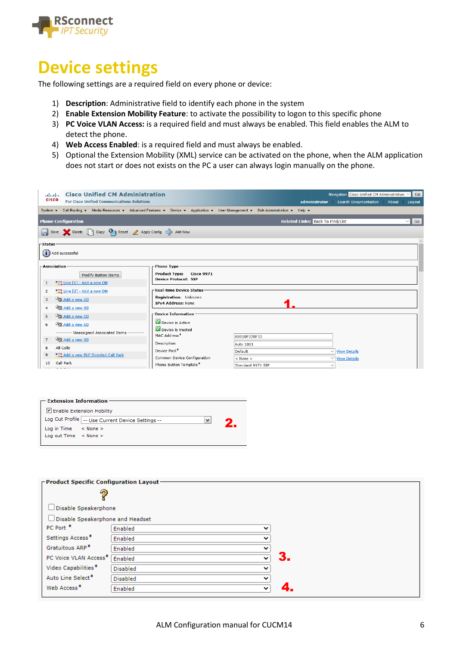

# **Device settings**

The following settings are a required field on every phone or device:

- 1) **Description**: Administrative field to identify each phone in the system
- 2) **Enable Extension Mobility Feature**: to activate the possibility to logon to this specific phone
- 3) **PC Voice VLAN Access:** is a required field and must always be enabled. This field enables the ALM to detect the phone.
- 4) **Web Access Enabled**: is a required field and must always be enabled.
- 5) Optional the Extension Mobility (XML) service can be activated on the phone, when the ALM application does not start or does not exists on the PC a user can always login manually on the phone.

| abab.<br><b>CISCO</b>                 | <b>Cisco Unified CM Administration</b><br><b>For Cisco Unified Communications Solutions</b>                                                                                                                                                              |                                                                                        |                                                      | Navigation Cisco Unified CM Administration V<br>Search Documentation<br>administrator<br>About | Go<br>Logout |
|---------------------------------------|----------------------------------------------------------------------------------------------------------------------------------------------------------------------------------------------------------------------------------------------------------|----------------------------------------------------------------------------------------|------------------------------------------------------|------------------------------------------------------------------------------------------------|--------------|
| System $\blacktriangleright$          | Call Routing $\blacktriangledown$ Media Resources $\blacktriangledown$ Advanced Features $\blacktriangledown$ Device $\blacktriangledown$ Application $\blacktriangledown$ User Management $\blacktriangledown$ Bulk Administration $\blacktriangledown$ |                                                                                        |                                                      | Help $\blacktriangleright$                                                                     |              |
|                                       | <b>Phone Configuration</b>                                                                                                                                                                                                                               |                                                                                        |                                                      | <b>Related Links: Back To Find/List</b>                                                        | $\vee$ Go    |
|                                       | Save Selete C Copy C Reset 2 Apply Config C Add New                                                                                                                                                                                                      |                                                                                        |                                                      |                                                                                                |              |
| <b>Status</b>                         | $(i)$ Add successful                                                                                                                                                                                                                                     |                                                                                        |                                                      |                                                                                                |              |
| -Association-<br>1                    | Modify Button Items<br>$\frac{1773}{778}$ Line [1] - Add a new DN                                                                                                                                                                                        | Phone Type<br><b>Product Type:</b><br><b>Cisco 9971</b><br><b>Device Protocol: SIP</b> |                                                      |                                                                                                |              |
| $\overline{2}$<br>3<br>$\overline{4}$ | $\frac{1778}{278}$ Line $[2]$ - Add a new DN<br>Add a new SD<br>Add a new SD                                                                                                                                                                             | -Real-time Device Status<br>Registration: Unknown<br>IPv4 Address: None                |                                                      |                                                                                                |              |
| 5<br>6                                | Add a new SD<br>Add a new SD<br>---------- Unassigned Associated Items ----------                                                                                                                                                                        | - Device Information -<br>Device is Active<br>Device is trusted                        |                                                      |                                                                                                |              |
| $\overline{7}$<br>8<br>9              | <sup>t</sup> Add a new SD<br>All Calls<br><b>Anna Add a new BLF Directed Call Park</b><br>Call Park                                                                                                                                                      | MAC Address <sup>*</sup><br>Description<br>Device Pool*<br>Common Device Configuration | AB010F020F33<br>Auto 1001<br>Default<br>$<$ None $>$ | $\vee$ View Details<br>$\vee$ View Details                                                     |              |
| 10                                    | the company's                                                                                                                                                                                                                                            | Phone Button Template*                                                                 | Standard 9971 SIP                                    |                                                                                                |              |

|                                 | $-$ Extension Information $\cdot$                 |  |  |  |  |
|---------------------------------|---------------------------------------------------|--|--|--|--|
| Enable Extension Mobility       |                                                   |  |  |  |  |
|                                 | Log Out Profile -- Use Current Device Settings -- |  |  |  |  |
| Log in Time $\leq$ None $\geq$  |                                                   |  |  |  |  |
| Log out Time $\leq$ None $\geq$ |                                                   |  |  |  |  |
|                                 |                                                   |  |  |  |  |

| <b>Product Specific Configuration Layout-</b> |                 |              |    |
|-----------------------------------------------|-----------------|--------------|----|
| 2                                             |                 |              |    |
| $\Box$ Disable Speakerphone                   |                 |              |    |
| Disable Speakerphone and Headset              |                 |              |    |
| PC Port <sup>*</sup>                          | Enabled         | $\check{ }$  |    |
| Settings Access*                              | Enabled         | $\check{ }$  |    |
| Gratuitous ARP*                               | Enabled         | $\checkmark$ |    |
| PC Voice VLAN Access <sup>*</sup>             | Enabled         | $\check{ }$  | З. |
| Video Capabilities*                           | <b>Disabled</b> | $\checkmark$ |    |
| Auto Line Select <sup>*</sup>                 | <b>Disabled</b> | $\checkmark$ |    |
| Web Access <sup>*</sup>                       | Enabled         | $\checkmark$ |    |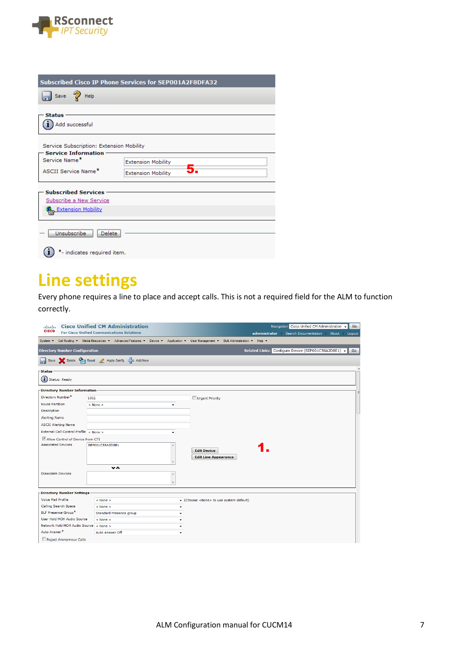

| <b>Subscribed Cisco IP Phone Services for SEP001A2F8DFA32</b>          |                           |  |  |  |  |  |
|------------------------------------------------------------------------|---------------------------|--|--|--|--|--|
| Save $\mathbb{Q}$ Help                                                 |                           |  |  |  |  |  |
| <b>Status</b>                                                          |                           |  |  |  |  |  |
| Add successful                                                         |                           |  |  |  |  |  |
| Service Subscription: Extension Mobility<br><b>Service Information</b> |                           |  |  |  |  |  |
| Service Name*                                                          | <b>Extension Mobility</b> |  |  |  |  |  |
| <b>ASCII Service Name*</b>                                             | <b>Extension Mobility</b> |  |  |  |  |  |
| <b>Subscribed Services</b>                                             |                           |  |  |  |  |  |
| Subscribe a New Service                                                |                           |  |  |  |  |  |
| Extension Mobility                                                     |                           |  |  |  |  |  |
| Unsubscribe<br>Delete                                                  |                           |  |  |  |  |  |
| *- indicates required item.                                            |                           |  |  |  |  |  |

## **Line settings**

Every phone requires a line to place and accept calls. This is not a required field for the ALM to function correctly.

| abab.<br><b>CISCO</b>                  | <b>Cisco Unified CM Administration</b>                                                                                     |   |                                             | Navigation Cisco Unified CM Administration +        | Go              |
|----------------------------------------|----------------------------------------------------------------------------------------------------------------------------|---|---------------------------------------------|-----------------------------------------------------|-----------------|
|                                        | <b>For Cisco Unified Communications Solutions</b>                                                                          |   |                                             | administrator Search Documentation                  | About<br>Logout |
| System $\blacktriangledown$            | Call Routing ▼ Media Resources ▼ Advanced Features ▼ Device ▼ Application ▼ User Management ▼ Bulk Administration ▼ Help ▼ |   |                                             |                                                     |                 |
| <b>Directory Number Configuration</b>  |                                                                                                                            |   |                                             | Related Links: Configure Device (SEP001C58A2D8E1) v | <b>Go</b>       |
|                                        | Save Sublete Complete Apply Config Complete Add New                                                                        |   |                                             |                                                     |                 |
| -Status                                |                                                                                                                            |   |                                             |                                                     |                 |
| $\bf(i)$<br><b>Status: Ready</b>       |                                                                                                                            |   |                                             |                                                     |                 |
| Directory Number Information           |                                                                                                                            |   |                                             |                                                     |                 |
| Directory Number*                      | 1002                                                                                                                       |   | Urgent Priority                             |                                                     |                 |
| <b>Route Partition</b>                 | $<$ None $>$                                                                                                               | ٠ |                                             |                                                     |                 |
| Description                            |                                                                                                                            |   |                                             |                                                     |                 |
| <b>Alerting Name</b>                   |                                                                                                                            |   |                                             |                                                     |                 |
| <b>ASCII Alerting Name</b>             |                                                                                                                            |   |                                             |                                                     |                 |
| External Call Control Profile < None > |                                                                                                                            | ٠ |                                             |                                                     |                 |
| Allow Control of Device from CTI       |                                                                                                                            |   |                                             |                                                     |                 |
| <b>Associated Devices</b>              | SEP001C58A2D8E1                                                                                                            |   |                                             |                                                     |                 |
|                                        |                                                                                                                            |   | <b>Edit Device</b>                          |                                                     |                 |
|                                        |                                                                                                                            |   | <b>Edit Line Appearance</b>                 |                                                     |                 |
|                                        | v ^                                                                                                                        |   |                                             |                                                     |                 |
| <b>Dissociate Devices</b>              |                                                                                                                            |   |                                             |                                                     |                 |
|                                        |                                                                                                                            |   |                                             |                                                     |                 |
|                                        |                                                                                                                            |   |                                             |                                                     |                 |
| Directory Number Settings-             |                                                                                                                            |   |                                             |                                                     |                 |
| <b>Voice Mail Profile</b>              | $<$ None $>$                                                                                                               |   | Choose <none> to use system default)</none> |                                                     |                 |
| Calling Search Space                   | $<$ None $>$                                                                                                               |   |                                             |                                                     |                 |
| <b>BLF Presence Group*</b>             | Standard Presence group                                                                                                    |   |                                             |                                                     |                 |
| User Hold MOH Audio Source             | $<$ None $>$                                                                                                               |   |                                             |                                                     |                 |
| Network Hold MOH Audio Source < None > |                                                                                                                            |   |                                             |                                                     |                 |
| Auto Answer <sup>*</sup>               | Auto Answer Off                                                                                                            |   |                                             |                                                     |                 |
| Reject Anonymous Calls                 |                                                                                                                            |   |                                             |                                                     |                 |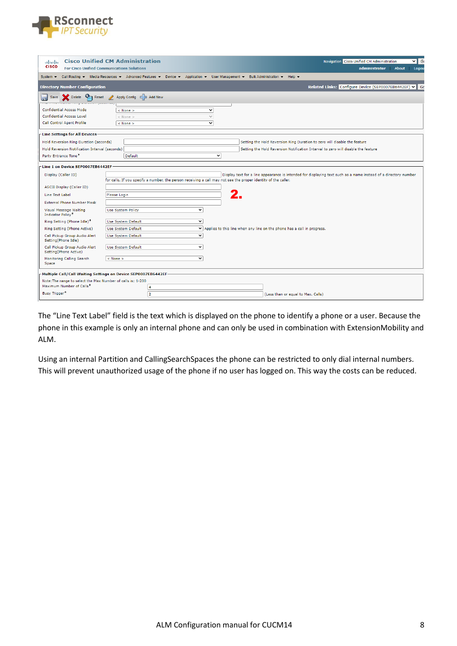

| ababa                                                          | <b>Cisco Unified CM Administration</b>                                                                                                                                                                                                                   |              |                                                                           | Navigation Cisco Unified CM Administration                                                                      |       | $\vee$ G |
|----------------------------------------------------------------|----------------------------------------------------------------------------------------------------------------------------------------------------------------------------------------------------------------------------------------------------------|--------------|---------------------------------------------------------------------------|-----------------------------------------------------------------------------------------------------------------|-------|----------|
| <b>CISCO</b>                                                   | <b>For Cisco Unified Communications Solutions</b>                                                                                                                                                                                                        |              |                                                                           | administrator                                                                                                   | About | Logou    |
| System $\blacktriangledown$                                    | Call Routing $\blacktriangledown$ Media Resources $\blacktriangledown$ Advanced Features $\blacktriangledown$ Device $\blacktriangledown$ Application $\blacktriangledown$ User Management $\blacktriangledown$ Bulk Administration $\blacktriangledown$ |              | Help $\blacktriangledown$                                                 |                                                                                                                 |       |          |
| <b>Directory Number Configuration</b>                          |                                                                                                                                                                                                                                                          |              |                                                                           | Related Links: Configure Device (SEP0007EB6442EF) V                                                             |       |          |
| Delete <b>Co</b> n Reset                                       | Apply Config C Add New                                                                                                                                                                                                                                   |              |                                                                           |                                                                                                                 |       |          |
| <b>Confidential Access Mode</b>                                | $<$ None $>$                                                                                                                                                                                                                                             | $\check{ }$  |                                                                           |                                                                                                                 |       |          |
| <b>Confidential Access Level</b>                               | $<$ None $>$                                                                                                                                                                                                                                             | $\checkmark$ |                                                                           |                                                                                                                 |       |          |
| Call Control Agent Profile                                     | $<$ None $>$                                                                                                                                                                                                                                             | $\checkmark$ |                                                                           |                                                                                                                 |       |          |
| Line Settings for All Devices                                  |                                                                                                                                                                                                                                                          |              |                                                                           |                                                                                                                 |       |          |
| Hold Reversion Ring Duration (seconds)                         |                                                                                                                                                                                                                                                          |              | Setting the Hold Reversion Ring Duration to zero will disable the feature |                                                                                                                 |       |          |
| Hold Reversion Notification Interval (seconds)                 |                                                                                                                                                                                                                                                          |              |                                                                           | Setting the Hold Reversion Notification Interval to zero will disable the feature                               |       |          |
| Party Entrance Tone <sup>*</sup>                               | Default                                                                                                                                                                                                                                                  | $\check{~}$  |                                                                           |                                                                                                                 |       |          |
| Line 1 on Device SEP0007EB6442EF                               |                                                                                                                                                                                                                                                          |              |                                                                           |                                                                                                                 |       |          |
| Display (Caller ID)                                            |                                                                                                                                                                                                                                                          |              |                                                                           | Display text for a line appearance is intended for displaying text such as a name instead of a directory number |       |          |
|                                                                | for calls. If you specify a number, the person receiving a call may not see the proper identity of the caller.                                                                                                                                           |              |                                                                           |                                                                                                                 |       |          |
| ASCII Display (Caller ID)                                      |                                                                                                                                                                                                                                                          |              |                                                                           |                                                                                                                 |       |          |
| Line Text Label                                                | Please Login                                                                                                                                                                                                                                             |              |                                                                           |                                                                                                                 |       |          |
| <b>External Phone Number Mask</b>                              |                                                                                                                                                                                                                                                          |              |                                                                           |                                                                                                                 |       |          |
| Visual Message Waiting<br><b>Indicator Policy*</b>             | <b>Use System Policy</b>                                                                                                                                                                                                                                 | $\checkmark$ |                                                                           |                                                                                                                 |       |          |
| Ring Setting (Phone Idle)*                                     | Use System Default                                                                                                                                                                                                                                       | $\checkmark$ |                                                                           |                                                                                                                 |       |          |
| Ring Setting (Phone Active)                                    | Use System Default                                                                                                                                                                                                                                       |              | ▼ Applies to this line when any line on the phone has a call in progress. |                                                                                                                 |       |          |
| Call Pickup Group Audio Alert<br>Setting(Phone Idle)           | Use System Default                                                                                                                                                                                                                                       | $\checkmark$ |                                                                           |                                                                                                                 |       |          |
| Call Pickup Group Audio Alert<br>Setting(Phone Active)         | Use System Default                                                                                                                                                                                                                                       | $\checkmark$ |                                                                           |                                                                                                                 |       |          |
| Monitoring Calling Search<br>Space                             | $<$ None $>$                                                                                                                                                                                                                                             | $\check{~}$  |                                                                           |                                                                                                                 |       |          |
| Multiple Call/Call Waiting Settings on Device SEP0007EB6442EF- |                                                                                                                                                                                                                                                          |              |                                                                           |                                                                                                                 |       |          |
|                                                                | Note: The range to select the Max Number of calls is: 1-200                                                                                                                                                                                              |              |                                                                           |                                                                                                                 |       |          |
| Maximum Number of Calls*                                       | 4                                                                                                                                                                                                                                                        |              |                                                                           |                                                                                                                 |       |          |
| Busy Trigger*                                                  | $\overline{2}$                                                                                                                                                                                                                                           |              | (Less than or equal to Max. Calls)                                        |                                                                                                                 |       |          |

The "Line Text Label" field is the text which is displayed on the phone to identify a phone or a user. Because the phone in this example is only an internal phone and can only be used in combination with ExtensionMobility and ALM.

Using an internal Partition and CallingSearchSpaces the phone can be restricted to only dial internal numbers. This will prevent unauthorized usage of the phone if no user has logged on. This way the costs can be reduced.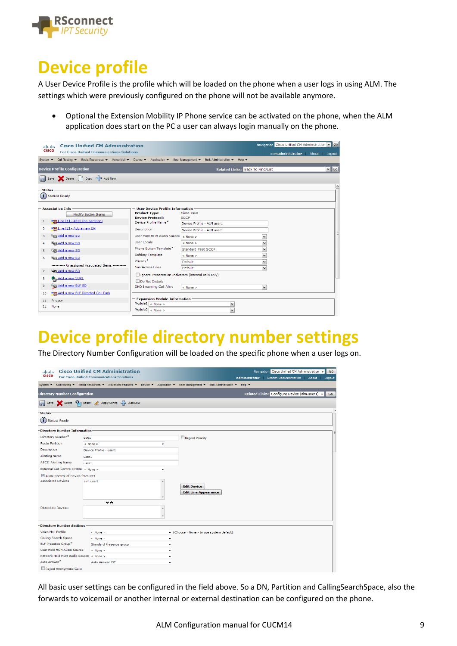

# **Device profile**

A User Device Profile is the profile which will be loaded on the phone when a user logs in using ALM. The settings which were previously configured on the phone will not be available anymore.

• Optional the Extension Mobility IP Phone service can be activated on the phone, when the ALM application does start on the PC a user can always login manually on the phone.

| abab.          | <b>Cisco Unified CM Administration</b>                                                                       |                                                      |                                           | Navigation Cisco Unified CM Administration v Go |                       |
|----------------|--------------------------------------------------------------------------------------------------------------|------------------------------------------------------|-------------------------------------------|-------------------------------------------------|-----------------------|
| <b>CISCO</b>   | <b>For Cisco Unified Communications Solutions</b>                                                            |                                                      |                                           | ccmadministrator<br>About                       | Logout                |
| System $\sim$  | Call Routing v Media Resources v Voice Mail v Device v Application v User Management v Bulk Administration v |                                                      | Help $\blacktriangleright$                |                                                 |                       |
|                | <b>Device Profile Configuration</b>                                                                          |                                                      | <b>Related Links: Back To Find/List</b>   |                                                 | $\vee$ Go             |
|                | Save Selete Copy + Add New                                                                                   |                                                      |                                           |                                                 |                       |
| - Status -     |                                                                                                              |                                                      |                                           |                                                 | $\boldsymbol{\wedge}$ |
|                | $(i)$ Status: Ready                                                                                          |                                                      |                                           |                                                 |                       |
|                |                                                                                                              |                                                      |                                           |                                                 |                       |
|                | <b>Association Info</b>                                                                                      | <b>User Device Profile Information</b>               |                                           |                                                 |                       |
|                | <b>Modify Button Items</b>                                                                                   | <b>Product Type:</b>                                 | Cisco 7960                                |                                                 |                       |
| $\mathbf{1}$   | $\frac{1}{288}$ Line [1] - 4312 (no partition)                                                               | <b>Device Protocol:</b><br>Device Profile Name*      | <b>SCCP</b><br>Device Profile - ALM user1 |                                                 |                       |
| $\overline{2}$ | aths Line [2] - Add a new DN                                                                                 | Description                                          | Device Profile - ALM user1                |                                                 |                       |
| 3              | Add a new SD                                                                                                 | User Hold MOH Audio Source < None >                  |                                           | $\checkmark$                                    |                       |
| 4              | Add a new SD                                                                                                 | User Locale                                          | $<$ None $>$                              | $\checkmark$                                    |                       |
| 5              | Add a new SD                                                                                                 | Phone Button Template*                               | Standard 7960 SCCP                        | $\checkmark$                                    |                       |
|                |                                                                                                              | Softkey Template                                     | $<$ None $>$                              | ٧                                               |                       |
| 6              | Add a new SD                                                                                                 | Privacy <sup>*</sup>                                 | Default                                   | $\checkmark$                                    |                       |
|                | ---------- Unassigned Associated Items ----------                                                            | Join Across Lines                                    | Default                                   | $\checkmark$                                    |                       |
| $\overline{7}$ | Add a new SD                                                                                                 | Ignore Presentation Indicators (internal calls only) |                                           |                                                 |                       |
| 8              | Add a new SURL                                                                                               | Do Not Disturb                                       |                                           |                                                 |                       |
| 9              | Add a new BLF SD                                                                                             | <b>DND Incoming Call Alert</b>                       | $<$ None $>$                              | $\checkmark$                                    |                       |
| 10             | arms Add a new BLF Directed Call Park                                                                        |                                                      |                                           |                                                 |                       |
| 11             | Privacy                                                                                                      | <b>Expansion Module Information</b>                  |                                           |                                                 |                       |
| 12             | None                                                                                                         | Module1 $\sqrt{6}$ None >                            | $\checkmark$                              |                                                 |                       |
|                |                                                                                                              | Module2 $\vert$ < None >                             | $\checkmark$                              |                                                 |                       |

## **Device profile directory number settings**

The Directory Number Configuration will be loaded on the specific phone when a user logs on.

| abab.<br><b>CISCO</b>                  | <b>Cisco Unified CM Administration</b><br><b>For Cisco Unified Communications Solutions</b> | Navigation Cisco Unified CM Administration v<br>Go<br>Search Documentation<br>administrator<br>About  <br>Logout           |
|----------------------------------------|---------------------------------------------------------------------------------------------|----------------------------------------------------------------------------------------------------------------------------|
| System $\blacktriangledown$            |                                                                                             | Call Routing ▼ Media Resources ▼ Advanced Features ▼ Device ▼ Application ▼ User Management ▼ Bulk Administration ▼ Help ▼ |
| <b>Directory Number Configuration</b>  |                                                                                             | Related Links: Configure Device (alm.user1) v<br>Go                                                                        |
| Save                                   | Delete <b>C</b> Reset <i>L</i> Apply Config C Add New                                       |                                                                                                                            |
| -Status                                |                                                                                             |                                                                                                                            |
| $\bf(i)$<br><b>Status: Ready</b>       |                                                                                             |                                                                                                                            |
| -Directory Number Information          |                                                                                             |                                                                                                                            |
| Directory Number*                      | 8001                                                                                        | Urgent Priority                                                                                                            |
| <b>Route Partition</b>                 | $<$ None $>$<br>۰                                                                           |                                                                                                                            |
| <b>Description</b>                     | Device Profile - user1                                                                      |                                                                                                                            |
| <b>Alerting Name</b>                   | user1                                                                                       |                                                                                                                            |
| <b>ASCII Alerting Name</b>             | user1                                                                                       |                                                                                                                            |
| External Call Control Profile < None > | ۰                                                                                           |                                                                                                                            |
| Allow Control of Device from CTI       |                                                                                             |                                                                                                                            |
| <b>Associated Devices</b>              | alm.user1                                                                                   |                                                                                                                            |
|                                        |                                                                                             | <b>Edit Device</b><br><b>Edit Line Appearance</b>                                                                          |
|                                        |                                                                                             |                                                                                                                            |
|                                        | $\mathbf v$ n $\mathbf w$                                                                   |                                                                                                                            |
| <b>Dissociate Devices</b>              |                                                                                             |                                                                                                                            |
|                                        |                                                                                             |                                                                                                                            |
| -Directory Number Settings             |                                                                                             |                                                                                                                            |
| <b>Voice Mail Profile</b>              | $<$ None $>$                                                                                | Choose <none> to use system default)</none>                                                                                |
| Calling Search Space                   | < None >                                                                                    | ٠                                                                                                                          |
| BLF Presence Group*                    | Standard Presence group                                                                     | ٠                                                                                                                          |
| User Hold MOH Audio Source             | $<$ None $>$                                                                                | ۰                                                                                                                          |
| Network Hold MOH Audio Source          | $<$ None $>$                                                                                | ۰                                                                                                                          |
| Auto Answer*                           | Auto Answer Off                                                                             | $\overline{\phantom{a}}$                                                                                                   |
| Reject Anonymous Calls                 |                                                                                             |                                                                                                                            |

All basic user settings can be configured in the field above. So a DN, Partition and CallingSearchSpace, also the forwards to voicemail or another internal or external destination can be configured on the phone.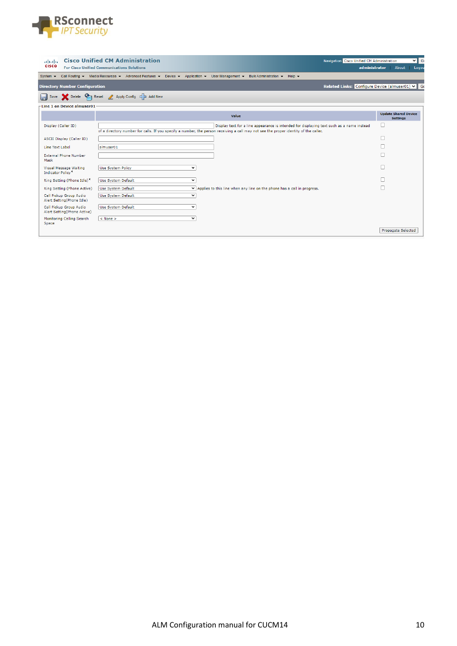

| ahaha<br><b>CISCO</b>                                  | <b>Cisco Unified CM Administration</b><br><b>For Cisco Unified Communications Solutions</b> | Navigation Cisco Unified CM Administration<br>administrator                                                                                                                                                                                                                           | ⊽l ଗ<br>About<br>Logou                         |
|--------------------------------------------------------|---------------------------------------------------------------------------------------------|---------------------------------------------------------------------------------------------------------------------------------------------------------------------------------------------------------------------------------------------------------------------------------------|------------------------------------------------|
| System $\sim$                                          |                                                                                             | Call Routing $\blacktriangledown$ Media Resources $\blacktriangledown$ Advanced Features $\blacktriangledown$ Device $\blacktriangledown$ Application $\blacktriangledown$ User Management $\blacktriangledown$ Bulk Administration $\blacktriangledown$<br>Help $\blacktriangledown$ |                                                |
| <b>Directory Number Configuration</b>                  |                                                                                             | Related Links: Configure Device (almuser01) v G                                                                                                                                                                                                                                       |                                                |
|                                                        | Save Solete Complete Apply Config Complete Add New                                          |                                                                                                                                                                                                                                                                                       |                                                |
| $-$ Line 1 on Device almuser01                         |                                                                                             |                                                                                                                                                                                                                                                                                       |                                                |
|                                                        |                                                                                             | Value                                                                                                                                                                                                                                                                                 | <b>Update Shared Device</b><br><b>Settings</b> |
| Display (Caller ID)                                    |                                                                                             | Display text for a line appearance is intended for displaying text such as a name instead<br>of a directory number for calls. If you specify a number, the person receiving a call may not see the proper identity of the caller.                                                     | о                                              |
| ASCII Display (Caller ID)                              |                                                                                             |                                                                                                                                                                                                                                                                                       |                                                |
| Line Text Label                                        | almuser01                                                                                   |                                                                                                                                                                                                                                                                                       |                                                |
| <b>External Phone Number</b><br>Mask                   |                                                                                             |                                                                                                                                                                                                                                                                                       |                                                |
| Visual Message Waiting<br><b>Indicator Policy*</b>     | Use System Policy                                                                           | v                                                                                                                                                                                                                                                                                     |                                                |
| Ring Setting (Phone Idle)*                             | Use System Default                                                                          | $\checkmark$                                                                                                                                                                                                                                                                          |                                                |
| Ring Setting (Phone Active)                            | Use System Default                                                                          | ▼ Applies to this line when any line on the phone has a call in progress.                                                                                                                                                                                                             |                                                |
| Call Pickup Group Audio<br>Alert Setting(Phone Idle)   | Use System Default                                                                          | $\checkmark$                                                                                                                                                                                                                                                                          |                                                |
| Call Pickup Group Audio<br>Alert Setting(Phone Active) | Use System Default                                                                          | $\check{ }$                                                                                                                                                                                                                                                                           |                                                |
| Monitoring Calling Search<br>Space                     | $<$ None $>$                                                                                | ◡                                                                                                                                                                                                                                                                                     |                                                |
|                                                        |                                                                                             |                                                                                                                                                                                                                                                                                       | <b>Propagate Selected</b>                      |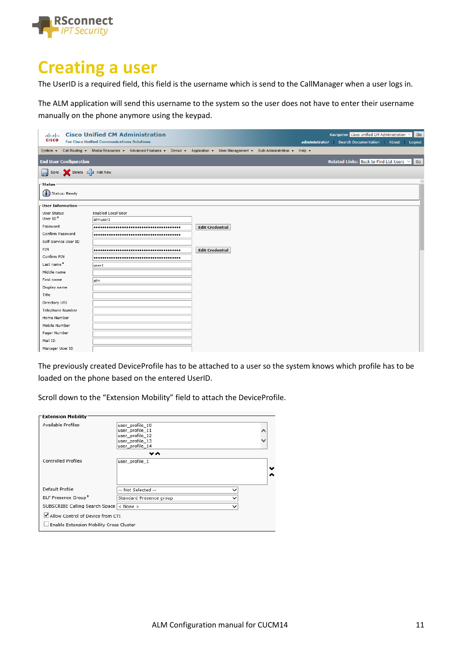

## **Creating a user**

The UserID is a required field, this field is the username which is send to the CallManager when a user logs in.

The ALM application will send this username to the system so the user does not have to enter their username manually on the phone anymore using the keypad.

| abab.<br><b>CISCO</b>                 | <b>Cisco Unified CM Administration</b><br><b>For Cisco Unified Communications Solutions</b>                         |                        | administrator             | Navigation Cisco Unified CM Administration V<br><b>Search Documentation</b> | Go<br>About<br>Logout |  |  |  |
|---------------------------------------|---------------------------------------------------------------------------------------------------------------------|------------------------|---------------------------|-----------------------------------------------------------------------------|-----------------------|--|--|--|
| System $\blacktriangleright$          | Call Routing ▼ Media Resources ▼ Advanced Features ▼ Device ▼ Application ▼ User Management ▼ Bulk Administration ▼ |                        | Help $\blacktriangledown$ |                                                                             |                       |  |  |  |
| <b>End User Configuration</b>         |                                                                                                                     |                        |                           | Related Links: Back to Find List Users $\vee$ Go                            |                       |  |  |  |
| Save <b>X</b> Delete <b>C</b> Add New |                                                                                                                     |                        |                           |                                                                             |                       |  |  |  |
| ·Status·                              |                                                                                                                     |                        |                           |                                                                             | $\hat{\phantom{a}}$   |  |  |  |
| $(i)$ Status: Ready                   |                                                                                                                     |                        |                           |                                                                             |                       |  |  |  |
| User Information                      |                                                                                                                     |                        |                           |                                                                             |                       |  |  |  |
| User Status                           | <b>Enabled Local User</b>                                                                                           |                        |                           |                                                                             |                       |  |  |  |
| User ID <sup>*</sup>                  | almuser1                                                                                                            |                        |                           |                                                                             |                       |  |  |  |
| Password                              |                                                                                                                     | <b>Edit Credential</b> |                           |                                                                             |                       |  |  |  |
| Confirm Password                      |                                                                                                                     |                        |                           |                                                                             |                       |  |  |  |
| Self-Service User ID                  |                                                                                                                     |                        |                           |                                                                             |                       |  |  |  |
| PIN                                   |                                                                                                                     | <b>Edit Credential</b> |                           |                                                                             |                       |  |  |  |
| Confirm PIN                           |                                                                                                                     |                        |                           |                                                                             |                       |  |  |  |
| Last name*                            | user1                                                                                                               |                        |                           |                                                                             |                       |  |  |  |
| Middle name                           |                                                                                                                     |                        |                           |                                                                             |                       |  |  |  |
| First name                            | alm                                                                                                                 |                        |                           |                                                                             |                       |  |  |  |
| Display name                          |                                                                                                                     |                        |                           |                                                                             |                       |  |  |  |
| Title                                 |                                                                                                                     |                        |                           |                                                                             |                       |  |  |  |
| Directory URI                         |                                                                                                                     |                        |                           |                                                                             |                       |  |  |  |
| Telephone Number                      |                                                                                                                     |                        |                           |                                                                             |                       |  |  |  |
| Home Number                           |                                                                                                                     |                        |                           |                                                                             |                       |  |  |  |
| Mobile Number                         |                                                                                                                     |                        |                           |                                                                             |                       |  |  |  |
| Pager Number                          |                                                                                                                     |                        |                           |                                                                             |                       |  |  |  |
| Mail ID                               |                                                                                                                     |                        |                           |                                                                             |                       |  |  |  |
| Manager User ID                       |                                                                                                                     |                        |                           |                                                                             |                       |  |  |  |

The previously created DeviceProfile has to be attached to a user so the system knows which profile has to be loaded on the phone based on the entered UserID.

Scroll down to the "Extension Mobility" field to attach the DeviceProfile.

| <b>⊤Extension Mobility</b>               |                         |             |  |  |  |  |  |  |
|------------------------------------------|-------------------------|-------------|--|--|--|--|--|--|
| Available Profiles                       | user profile 10         |             |  |  |  |  |  |  |
|                                          | user profile 11         |             |  |  |  |  |  |  |
|                                          | user profile 12         |             |  |  |  |  |  |  |
|                                          | user_profile_13         |             |  |  |  |  |  |  |
|                                          | user profile 14         |             |  |  |  |  |  |  |
| v n                                      |                         |             |  |  |  |  |  |  |
| <b>Controlled Profiles</b>               | user_profile_1          |             |  |  |  |  |  |  |
|                                          |                         |             |  |  |  |  |  |  |
|                                          |                         |             |  |  |  |  |  |  |
|                                          |                         |             |  |  |  |  |  |  |
|                                          |                         |             |  |  |  |  |  |  |
| Default Profile                          | -- Not Selected --      |             |  |  |  |  |  |  |
| BLF Presence Group*                      | Standard Presence group |             |  |  |  |  |  |  |
| SUBSCRIBE Calling Search Space  < None > |                         | $\check{ }$ |  |  |  |  |  |  |
| Allow Control of Device from CTI         |                         |             |  |  |  |  |  |  |
|                                          |                         |             |  |  |  |  |  |  |
| Enable Extension Mobility Cross Cluster  |                         |             |  |  |  |  |  |  |
|                                          |                         |             |  |  |  |  |  |  |